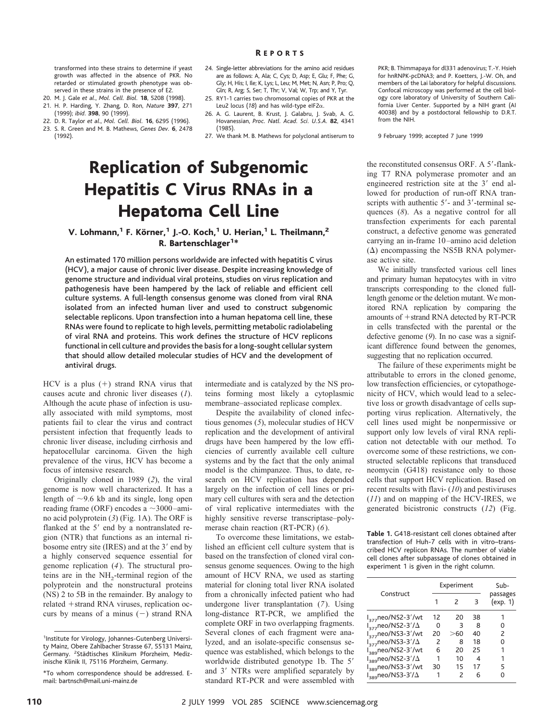transformed into these strains to determine if yeast growth was affected in the absence of PKR. No retarded or stimulated growth phenotype was observed in these strains in the presence of E2.

- 20. M. J. Gale *et al*., *Mol. Cell. Biol.* **18**, 5208 (1998).
- 21. H. P. Harding, Y. Zhang, D. Ron, *Nature* **397**, 271 (1999); *ibid*. **398**, 90 (1999).
- 22. D. R. Taylor *et al*., *Mol. Cell. Biol.* **16**, 6295 (1996).
- 23. S. R. Green and M. B. Mathews, *Genes Dev.* **6**, 2478 (1992).
- 24. Single-letter abbreviations for the amino acid residues are as follows: A, Ala; C, Cys; D, Asp; E, Glu; F, Phe; G, Gly; H, His; I, Ile; K, Lys; L, Leu; M, Met; N, Asn; P, Pro; Q, Gln; R, Arg; S, Ser; T, Thr; V, Val; W, Trp; and Y, Tyr.
- 25. RY1-1 carries two chromosomal copies of PKR at the Leu2 locus (18) and has wild-type eIF2 $\alpha$ .
- 26. A. G. Laurent, B. Krust, J. Galabru, J. Svab, A. G. Hovanessian, *Proc. Natl. Acad. Sci. U.S.A.* **82**, 4341 (1985).
- 27. We thank M. B. Mathews for polyclonal antiserum to

## Replication of Subgenomic Hepatitis C Virus RNAs in a Hepatoma Cell Line

### V. Lohmann,<sup>1</sup> F. Körner,<sup>1</sup> J.-O. Koch,<sup>1</sup> U. Herian,<sup>1</sup> L. Theilmann,<sup>2</sup> R. Bartenschlager<sup>1\*</sup>

An estimated 170 million persons worldwide are infected with hepatitis C virus (HCV), a major cause of chronic liver disease. Despite increasing knowledge of genome structure and individual viral proteins, studies on virus replication and pathogenesis have been hampered by the lack of reliable and efficient cell culture systems. A full-length consensus genome was cloned from viral RNA isolated from an infected human liver and used to construct subgenomic selectable replicons. Upon transfection into a human hepatoma cell line, these RNAs were found to replicate to high levels, permitting metabolic radiolabeling of viral RNA and proteins. This work defines the structure of HCV replicons functional in cell culture and provides the basis for a long-sought cellular system that should allow detailed molecular studies of HCV and the development of antiviral drugs.

HCV is a plus  $(+)$  strand RNA virus that causes acute and chronic liver diseases (*1*). Although the acute phase of infection is usually associated with mild symptoms, most patients fail to clear the virus and contract persistent infection that frequently leads to chronic liver disease, including cirrhosis and hepatocellular carcinoma. Given the high prevalence of the virus, HCV has become a focus of intensive research.

Originally cloned in 1989 (*2*), the viral genome is now well characterized. It has a length of  $\sim$ 9.6 kb and its single, long open reading frame (ORF) encodes a  $\sim$ 3000–amino acid polyprotein (*3*) (Fig. 1A). The ORF is flanked at the  $5'$  end by a nontranslated region (NTR) that functions as an internal ribosome entry site (IRES) and at the 3' end by a highly conserved sequence essential for genome replication (*4*). The structural proteins are in the  $NH<sub>2</sub>$ -terminal region of the polyprotein and the nonstructural proteins (NS) 2 to 5B in the remainder. By analogy to related +strand RNA viruses, replication occurs by means of a minus  $(-)$  strand RNA intermediate and is catalyzed by the NS proteins forming most likely a cytoplasmic membrane–associated replicase complex.

Despite the availability of cloned infectious genomes (*5*), molecular studies of HCV replication and the development of antiviral drugs have been hampered by the low efficiencies of currently available cell culture systems and by the fact that the only animal model is the chimpanzee. Thus, to date, research on HCV replication has depended largely on the infection of cell lines or primary cell cultures with sera and the detection of viral replicative intermediates with the highly sensitive reverse transcriptase–polymerase chain reaction (RT-PCR) (*6*).

To overcome these limitations, we established an efficient cell culture system that is based on the transfection of cloned viral consensus genome sequences. Owing to the high amount of HCV RNA, we used as starting material for cloning total liver RNA isolated from a chronically infected patient who had undergone liver transplantation (*7*). Using long-distance RT-PCR, we amplified the complete ORF in two overlapping fragments. Several clones of each fragment were analyzed, and an isolate-specific consensus sequence was established, which belongs to the worldwide distributed genotype 1b. The 5' and 3' NTRs were amplified separately by standard RT-PCR and were assembled with PKR; B. Thimmapaya for dl331 adenovirus; T.-Y. Hsieh for hnRNPK-pcDNA3; and P. Koetters, J.-W. Oh, and members of the Lai laboratory for helpful discussions. Confocal microscopy was performed at the cell biology core laboratory of University of Southern California Liver Center. Supported by a NIH grant (AI 40038) and by a postdoctoral fellowship to D.R.T. from the NIH.

9 February 1999; accepted 7 June 1999

the reconstituted consensus ORF. A 5'-flanking T7 RNA polymerase promoter and an engineered restriction site at the  $3'$  end allowed for production of run-off RNA transcripts with authentic  $5'$ - and  $3'$ -terminal sequences (*8*). As a negative control for all transfection experiments for each parental construct, a defective genome was generated carrying an in-frame 10–amino acid deletion  $(\Delta)$  encompassing the NS5B RNA polymerase active site.

We initially transfected various cell lines and primary human hepatocytes with in vitro transcripts corresponding to the cloned fulllength genome or the deletion mutant. We monitored RNA replication by comparing the amounts of  $+$ strand RNA detected by RT-PCR in cells transfected with the parental or the defective genome (*9*). In no case was a significant difference found between the genomes, suggesting that no replication occurred.

The failure of these experiments might be attributable to errors in the cloned genome, low transfection efficiencies, or cytopathogenicity of HCV, which would lead to a selective loss or growth disadvantage of cells supporting virus replication. Alternatively, the cell lines used might be nonpermissive or support only low levels of viral RNA replication not detectable with our method. To overcome some of these restrictions, we constructed selectable replicons that transduced neomycin (G418) resistance only to those cells that support HCV replication. Based on recent results with flavi- (*10*) and pestiviruses (*11*) and on mapping of the HCV-IRES, we generated bicistronic constructs (*12*) (Fig.

**Table 1.** G418-resistant cell clones obtained after transfection of Huh-7 cells with in vitro–transcribed HCV replicon RNAs. The number of viable cell clones after subpassage of clones obtained in experiment 1 is given in the right column.

| Construct                      | Experiment    |               |    | Sub-                 |
|--------------------------------|---------------|---------------|----|----------------------|
|                                |               |               | З  | passages<br>(exp. 1) |
| $I_{377}$ neo/NS2-3'/wt        | 12            | 20            | 38 |                      |
| $I_{277}$ neo/NS2-3'/ $\Delta$ | Ω             | З             | 8  | Ω                    |
| $I_{277}$ neo/NS3-3'/wt        | 20            | >60           | 40 | 2                    |
| $I_{377}$ neo/NS3-3'/ $\Delta$ | $\mathcal{P}$ | 8             | 18 | ი                    |
| $I_{\text{389}}$ neo/NS2-3'/wt | 6             | 20            | 25 | 1                    |
| $I_{389}$ neo/NS2-3'/ $\Delta$ | 1             | 10            | 4  | 1                    |
| I <sub>389</sub> neo/NS3-3'/wt | 30            | 15            | 17 | 5                    |
| $I_{389}$ neo/NS3-3'/ $\Delta$ |               | $\mathcal{P}$ | 6  | ი                    |

<sup>1</sup>Institute for Virology, Johannes-Gutenberg University Mainz, Obere Zahlbacher Strasse 67, 55131 Mainz, Germany. <sup>2</sup>Städtisches Klinikum Pforzheim, Medizinische Klinik II, 75116 Pforzheim, Germany.

<sup>\*</sup>To whom correspondence should be addressed. Email: bartnsch@mail.uni-mainz.de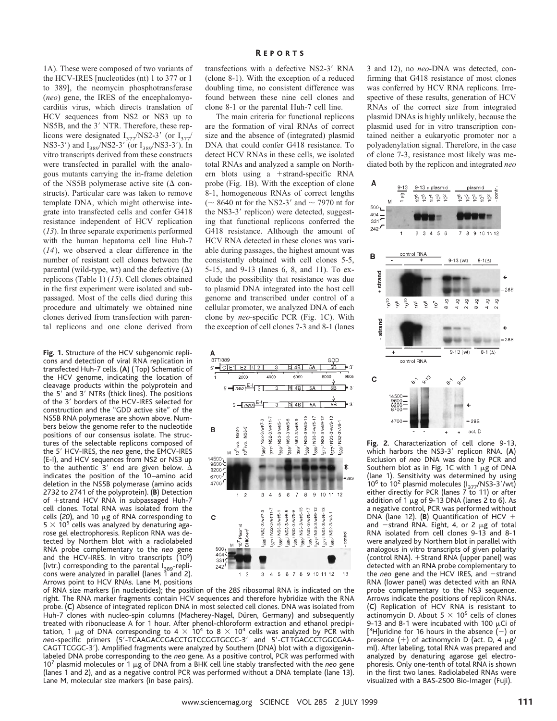1A). These were composed of two variants of the HCV-IRES [nucleotides (nt) 1 to 377 or 1 to 389], the neomycin phosphotransferase (*neo*) gene, the IRES of the encephalomyocarditis virus, which directs translation of HCV sequences from NS2 or NS3 up to NS5B, and the 3' NTR. Therefore, these replicons were designated  $I_{377}/NS2-3'$  (or  $I_{377}/$ NS3-3') and  $I_{389}$ /NS2-3' (or  $I_{389}$ /NS3-3'). In vitro transcripts derived from these constructs were transfected in parallel with the analogous mutants carrying the in-frame deletion of the NS5B polymerase active site  $(\Delta$  constructs). Particular care was taken to remove template DNA, which might otherwise integrate into transfected cells and confer G418 resistance independent of HCV replication (*13*). In three separate experiments performed with the human hepatoma cell line Huh-7 (*14*), we observed a clear difference in the number of resistant cell clones between the parental (wild-type, wt) and the defective  $(\Delta)$ replicons (Table 1) (*15*). Cell clones obtained in the first experiment were isolated and subpassaged. Most of the cells died during this procedure and ultimately we obtained nine clones derived from transfection with parental replicons and one clone derived from

**Fig. 1.** Structure of the HCV subgenomic replicons and detection of viral RNA replication in transfected Huh-7 cells. (**A**) ( Top) Schematic of the HCV genome, indicating the location of cleavage products within the polyprotein and the 5' and 3' NTRs (thick lines). The positions of the 3' borders of the HCV-IRES selected for construction and the "GDD active site" of the NS5B RNA polymerase are shown above. Numbers below the genome refer to the nucleotide positions of our consensus isolate. The structures of the selectable replicons composed of the 59 HCV-IRES, the *neo* gene, the EMCV-IRES (E-I), and HCV sequences from NS2 or NS3 up to the authentic 3' end are given below.  $\Delta$ indicates the position of the 10–amino acid deletion in the NS5B polymerase (amino acids 2732 to 2741 of the polyprotein). (**B**) Detection of +strand HCV RNA in subpassaged Huh-7 cell clones. Total RNA was isolated from the cells  $(20)$ , and 10  $\mu$ g of RNA corresponding to  $5 \times 10^5$  cells was analyzed by denaturing agarose gel electrophoresis. Replicon RNA was detected by Northern blot with a radiolabeled RNA probe complementary to the *neo* gene and the HCV-IRES. In vitro transcripts (10<sup>9</sup>) (ivtr.) corresponding to the parental  $I_{389}$ -replicons were analyzed in parallel (lanes 1 and 2). Arrows point to HCV RNAs. Lane M, positions transfections with a defective NS2-3' RNA (clone 8-1). With the exception of a reduced doubling time, no consistent difference was found between these nine cell clones and clone 8-1 or the parental Huh-7 cell line.

The main criteria for functional replicons are the formation of viral RNAs of correct size and the absence of (integrated) plasmid DNA that could confer G418 resistance. To detect HCV RNAs in these cells, we isolated total RNAs and analyzed a sample on Northern blots using a  $+$ strand-specific RNA probe (Fig. 1B). With the exception of clone 8-1, homogeneous RNAs of correct lengths ( $\sim$  8640 nt for the NS2-3' and  $\sim$  7970 nt for the NS3-3' replicon) were detected, suggesting that functional replicons conferred the G418 resistance. Although the amount of HCV RNA detected in these clones was variable during passages, the highest amount was consistently obtained with cell clones 5-5, 5-15, and 9-13 (lanes 6, 8, and 11). To exclude the possibility that resistance was due to plasmid DNA integrated into the host cell genome and transcribed under control of a cellular promoter, we analyzed DNA of each clone by *neo*-specific PCR (Fig. 1C). With the exception of cell clones 7-3 and 8-1 (lanes



of RNA size markers (in nucleotides); the position of the 28*S* ribosomal RNA is indicated on the right. The RNA marker fragments contain HCV sequences and therefore hybridize with the RNA probe. (**C**) Absence of integrated replicon DNA in most selected cell clones. DNA was isolated from Huh-7 clones with nucleo-spin columns (Macherey-Nagel, Düren, Germany) and subsequently treated with ribonuclease A for 1 hour. After phenol-chloroform extraction and ethanol precipitation, 1  $\mu$ g of DNA corresponding to 4  $\times$  10<sup>4</sup> to 8  $\times$  10<sup>4</sup> cells was analyzed by PCR with *neo-specific primers* (5'-TCAAGACCGACCTGTCCGGTGCCC-3' and 5'-CTTGAGCCTGGCGAA-CAGTTCGGC-3'). Amplified fragments were analyzed by Southern (DNA) blot with a digoxigeninlabeled DNA probe corresponding to the *neo* gene. As a positive control, PCR was performed with 10<sup>7</sup> plasmid molecules or 1  $\mu$ g of DNA from a BHK cell line stably transfected with the *neo* gene (lanes 1 and 2), and as a negative control PCR was performed without a DNA template (lane 13). Lane M, molecular size markers (in base pairs).

3 and 12), no *neo*-DNA was detected, confirming that G418 resistance of most clones was conferred by HCV RNA replicons. Irrespective of these results, generation of HCV RNAs of the correct size from integrated plasmid DNAs is highly unlikely, because the plasmid used for in vitro transcription contained neither a eukaryotic promoter nor a polyadenylation signal. Therefore, in the case of clone 7-3, resistance most likely was mediated both by the replicon and integrated *neo*



**Fig. 2**. Characterization of cell clone 9-13, which harbors the NS3-3' replicon RNA. (A) Exclusion of *neo* DNA was done by PCR and Southern blot as in Fig. 1C with 1  $\mu$ g of DNA (lane 1). Sensitivity was determined by using  $10^6$  to  $10^2$  plasmid molecules ( $I_{377}$ /NS3-3'/wt) either directly for PCR (lanes 7 to 11) or after addition of 1  $\mu$ g of 9-13 DNA (lanes 2 to 6). As a negative control, PCR was performed without DNA (lane 12).  $(B)$  Quantification of HCV + and  $-$ strand RNA. Eight, 4, or 2  $\mu$ g of total RNA isolated from cell clones 9-13 and 8-1 were analyzed by Northern blot in parallel with analogous in vitro transcripts of given polarity (control RNA).  $+$  Strand RNA (upper panel) was detected with an RNA probe complementary to the *neo* gene and the HCV IRES, and -strand RNA (lower panel) was detected with an RNA probe complementary to the NS3 sequence. Arrows indicate the positions of replicon RNAs. (**C**) Replication of HCV RNA is resistant to actinomycin D. About 5  $\times$  10<sup>5</sup> cells of clones 9-13 and 8-1 were incubated with 100  $\mu$ Ci of  $[3H]$ uridine for 16 hours in the absence  $(-)$  or presence  $(+)$  of actinomycin D (act. D, 4  $\mu$ g/ ml). After labeling, total RNA was prepared and analyzed by denaturing agarose gel electrophoresis. Only one-tenth of total RNA is shown in the first two lanes. Radiolabeled RNAs were visualized with a BAS-2500 Bio-Imager (Fuji).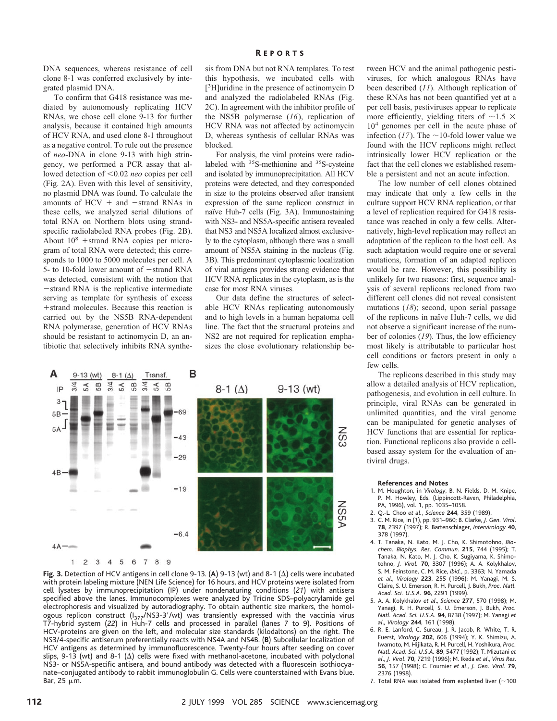DNA sequences, whereas resistance of cell clone 8-1 was conferred exclusively by integrated plasmid DNA.

To confirm that G418 resistance was mediated by autonomously replicating HCV RNAs, we chose cell clone 9-13 for further analysis, because it contained high amounts of HCV RNA, and used clone 8-1 throughout as a negative control. To rule out the presence of *neo*-DNA in clone 9-13 with high stringency, we performed a PCR assay that allowed detection of <0.02 *neo* copies per cell (Fig. 2A). Even with this level of sensitivity, no plasmid DNA was found. To calculate the amounts of  $HCV + and -strand RNAs$  in these cells, we analyzed serial dilutions of total RNA on Northern blots using strandspecific radiolabeled RNA probes (Fig. 2B). About  $10^8$  +strand RNA copies per microgram of total RNA were detected; this corresponds to 1000 to 5000 molecules per cell. A 5- to 10-fold lower amount of  $-$ strand RNA was detected, consistent with the notion that -strand RNA is the replicative intermediate serving as template for synthesis of excess + strand molecules. Because this reaction is carried out by the NS5B RNA-dependent RNA polymerase, generation of HCV RNAs should be resistant to actinomycin D, an antibiotic that selectively inhibits RNA synthe-

sis from DNA but not RNA templates. To test this hypothesis, we incubated cells with [ 3 H]uridine in the presence of actinomycin D and analyzed the radiolabeled RNAs (Fig. 2C). In agreement with the inhibitor profile of the NS5B polymerase (*16*), replication of HCV RNA was not affected by actinomycin D, whereas synthesis of cellular RNAs was blocked.

For analysis, the viral proteins were radiolabeled with <sup>35</sup>S-methionine and <sup>35</sup>S-cysteine and isolated by immunoprecipitation. All HCV proteins were detected, and they corresponded in size to the proteins observed after transient expression of the same replicon construct in naïve Huh-7 cells (Fig. 3A). Immunostaining with NS3- and NS5A-specific antisera revealed that NS3 and NS5A localized almost exclusively to the cytoplasm, although there was a small amount of NS5A staining in the nucleus (Fig. 3B). This predominant cytoplasmic localization of viral antigens provides strong evidence that HCV RNA replicates in the cytoplasm, as is the case for most RNA viruses.

Our data define the structures of selectable HCV RNAs replicating autonomously and to high levels in a human hepatoma cell line. The fact that the structural proteins and NS2 are not required for replication emphasizes the close evolutionary relationship be-



**Fig. 3.** Detection of HCV antigens in cell clone 9-13. (A) 9-13 (wt) and 8-1 ( $\Delta$ ) cells were incubated with protein labeling mixture (NEN Life Science) for 16 hours, and HCV proteins were isolated from cell lysates by immunoprecipitation (IP) under nondenaturing conditions (*21*) with antisera specified above the lanes. Immunocomplexes were analyzed by Tricine SDS–polyacrylamide gel electrophoresis and visualized by autoradiography. To obtain authentic size markers, the homologous replicon construct (I<sub>377</sub>/NS3-3′/wt) was transiently expressed with the vaccinia virus<br>T7-hybrid system (22) in Huh-7 cells and processed in parallel (lanes 7 to 9). Positions of HCV-proteins are given on the left, and molecular size standards (kilodaltons) on the right. The NS3/4-specific antiserum preferentially reacts with NS4A and NS4B. (**B**) Subcellular localization of HCV antigens as determined by immunofluorescence. Twenty-four hours after seeding on cover slips, 9-13 (wt) and 8-1  $(\Delta)$  cells were fixed with methanol-acetone, incubated with polyclonal NS3- or NS5A-specific antisera, and bound antibody was detected with a fluorescein isothiocyanate–conjugated antibody to rabbit immunoglobulin G. Cells were counterstained with Evans blue. Bar, 25  $\mu$ m.

tween HCV and the animal pathogenic pestiviruses, for which analogous RNAs have been described (*11*). Although replication of these RNAs has not been quantified yet at a per cell basis, pestiviruses appear to replicate more efficiently, yielding titers of  $\sim$ 1.5  $\times$ 104 genomes per cell in the acute phase of infection ( $17$ ). The  $\sim$ 10-fold lower value we found with the HCV replicons might reflect intrinsically lower HCV replication or the fact that the cell clones we established resemble a persistent and not an acute infection.

The low number of cell clones obtained may indicate that only a few cells in the culture support HCV RNA replication, or that a level of replication required for G418 resistance was reached in only a few cells. Alternatively, high-level replication may reflect an adaptation of the replicon to the host cell. As such adaptation would require one or several mutations, formation of an adapted replicon would be rare. However, this possibility is unlikely for two reasons: first, sequence analysis of several replicons recloned from two different cell clones did not reveal consistent mutations (*18*); second, upon serial passage of the replicons in naïve Huh-7 cells, we did not observe a significant increase of the number of colonies (*19*). Thus, the low efficiency most likely is attributable to particular host cell conditions or factors present in only a few cells.

The replicons described in this study may allow a detailed analysis of HCV replication, pathogenesis, and evolution in cell culture. In principle, viral RNAs can be generated in unlimited quantities, and the viral genome can be manipulated for genetic analyses of HCV functions that are essential for replication. Functional replicons also provide a cellbased assay system for the evaluation of antiviral drugs.

#### **References and Notes**

- 1. M. Houghton, in *Virology*, B. N. Fields, D. M. Knipe, P. M. Howley, Eds. (Lippincott-Raven, Philadelphia, PA, 1996), vol. 1, pp. 1035–1058.
- 2. Q.-L. Choo *et al.*, *Science* **244**, 359 (1989).
- 3. C. M. Rice, in (*1*), pp. 931–960; B. Clarke, *J. Gen. Virol*. **78**, 2397 (1997); R. Bartenschlager, *Intervirology* **40**, 378 (1997).
- 4. T. Tanaka, N. Kato, M. J. Cho, K. Shimotohno, *Biochem. Biophys. Res. Commun*. **215**, 744 (1995); T. Tanaka, N. Kato, M. J. Cho, K. Sugiyama, K. Shimotohno, *J. Virol.* **70**, 3307 (1996); A. A. Kolykhalov, S. M. Feinstone, C. M. Rice, *ibid.*, p. 3363; N. Yamada *et al*., *Virology* **223**, 255 (1996); M. Yanagi, M. S. Claire, S. U. Emerson, R. H. Purcell, J. Bukh, *Proc. Natl. Acad. Sci. U.S.A.* **96**, 2291 (1999).
- 5. A. A. Kolykhalov *et al*., *Science* **277**, 570 (1998); M. Yanagi, R. H. Purcell, S. U. Emerson, J. Bukh, *Proc. Natl. Acad. Sci. U.S.A.* **94**, 8738 (1997); M. Yanagi *et al*., *Virology* **244**, 161 (1998).
- 6. R. E. Lanford, C. Sureau, J. R. Jacob, R. White, T. R. Fuerst, *Virology* **202**, 606 (1994); Y. K. Shimizu, A. Iwamoto, M. Hijikata, R. H. Purcell, H. Yoshikura, *Proc. Natl. Acad. Sci. U.S.A.* **89**, 5477 (1992); T. Mizutani *et al*., *J. Virol*. **70**, 7219 (1996); M. Ikeda *et al*., *Virus Res*. **56**, 157 (1998); C. Fournier *et al*., *J. Gen. Virol*. **79**, 2376 (1998).
- 7. Total RNA was isolated from explanted liver ( $\sim$ 100